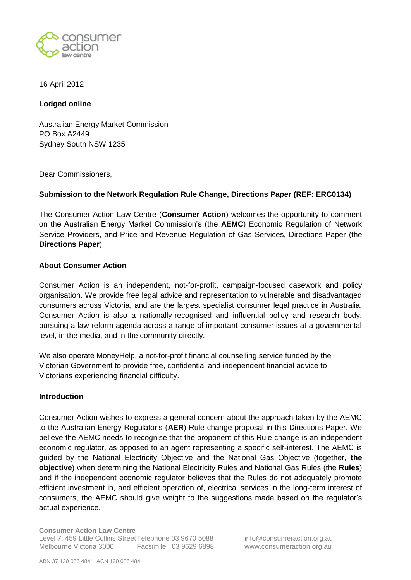

### 16 April 2012

## **Lodged online**

Australian Energy Market Commission PO Box A2449 Sydney South NSW 1235

Dear Commissioners,

## **Submission to the Network Regulation Rule Change, Directions Paper (REF: ERC0134)**

The Consumer Action Law Centre (**Consumer Action**) welcomes the opportunity to comment on the Australian Energy Market Commission's (the **AEMC**) Economic Regulation of Network Service Providers, and Price and Revenue Regulation of Gas Services, Directions Paper (the **Directions Paper**).

### **About Consumer Action**

Consumer Action is an independent, not-for-profit, campaign-focused casework and policy organisation. We provide free legal advice and representation to vulnerable and disadvantaged consumers across Victoria, and are the largest specialist consumer legal practice in Australia. Consumer Action is also a nationally-recognised and influential policy and research body, pursuing a law reform agenda across a range of important consumer issues at a governmental level, in the media, and in the community directly.

We also operate MoneyHelp, a not-for-profit financial counselling service funded by the Victorian Government to provide free, confidential and independent financial advice to Victorians experiencing financial difficulty.

### **Introduction**

Consumer Action wishes to express a general concern about the approach taken by the AEMC to the Australian Energy Regulator's (**AER**) Rule change proposal in this Directions Paper. We believe the AEMC needs to recognise that the proponent of this Rule change is an independent economic regulator, as opposed to an agent representing a specific self-interest. The AEMC is guided by the National Electricity Objective and the National Gas Objective (together, **the objective**) when determining the National Electricity Rules and National Gas Rules (the **Rules**) and if the independent economic regulator believes that the Rules do not adequately promote efficient investment in, and efficient operation of, electrical services in the long-term interest of consumers, the AEMC should give weight to the suggestions made based on the regulator's actual experience.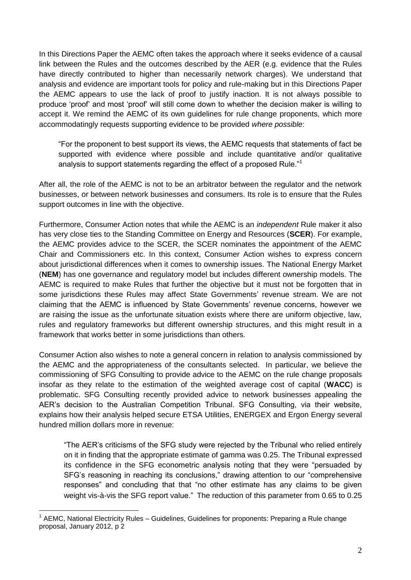In this Directions Paper the AEMC often takes the approach where it seeks evidence of a causal link between the Rules and the outcomes described by the AER (e.g. evidence that the Rules have directly contributed to higher than necessarily network charges). We understand that analysis and evidence are important tools for policy and rule-making but in this Directions Paper the AEMC appears to use the lack of proof to justify inaction. It is not always possible to produce ‗proof' and most ‗proof' will still come down to whether the decision maker is willing to accept it. We remind the AEMC of its own guidelines for rule change proponents, which more accommodatingly requests supporting evidence to be provided *where possible*:

―For the proponent to best support its views, the AEMC requests that statements of fact be supported with evidence where possible and include quantitative and/or qualitative analysis to support statements regarding the effect of a proposed Rule.<sup>"1</sup>

After all, the role of the AEMC is not to be an arbitrator between the regulator and the network businesses, or between network businesses and consumers. Its role is to ensure that the Rules support outcomes in line with the objective.

Furthermore, Consumer Action notes that while the AEMC is an *independent* Rule maker it also has very close ties to the Standing Committee on Energy and Resources (**SCER**). For example, the AEMC provides advice to the SCER, the SCER nominates the appointment of the AEMC Chair and Commissioners etc. In this context, Consumer Action wishes to express concern about jurisdictional differences when it comes to ownership issues. The National Energy Market (**NEM**) has one governance and regulatory model but includes different ownership models. The AEMC is required to make Rules that further the objective but it must not be forgotten that in some jurisdictions these Rules may affect State Governments' revenue stream. We are not claiming that the AEMC is influenced by State Governments' revenue concerns, however we are raising the issue as the unfortunate situation exists where there are uniform objective, law, rules and regulatory frameworks but different ownership structures, and this might result in a framework that works better in some jurisdictions than others.

Consumer Action also wishes to note a general concern in relation to analysis commissioned by the AEMC and the appropriateness of the consultants selected. In particular, we believe the commissioning of SFG Consulting to provide advice to the AEMC on the rule change proposals insofar as they relate to the estimation of the weighted average cost of capital (**WACC**) is problematic. SFG Consulting recently provided advice to network businesses appealing the AER's decision to the Australian Competition Tribunal. SFG Consulting, via their website, explains how their analysis helped secure ETSA Utilities, ENERGEX and Ergon Energy several hundred million dollars more in revenue:

"The AER's criticisms of the SFG study were rejected by the Tribunal who relied entirely on it in finding that the appropriate estimate of gamma was 0.25. The Tribunal expressed its confidence in the SFG econometric analysis noting that they were "persuaded by SFG's reasoning in reaching its conclusions," drawing attention to our "comprehensive responses" and concluding that that "no other estimate has any claims to be given weight vis-à-vis the SFG report value." The reduction of this parameter from 0.65 to 0.25

1

<sup>&</sup>lt;sup>1</sup> AEMC, National Electricity Rules – Guidelines, Guidelines for proponents: Preparing a Rule change proposal, January 2012, p 2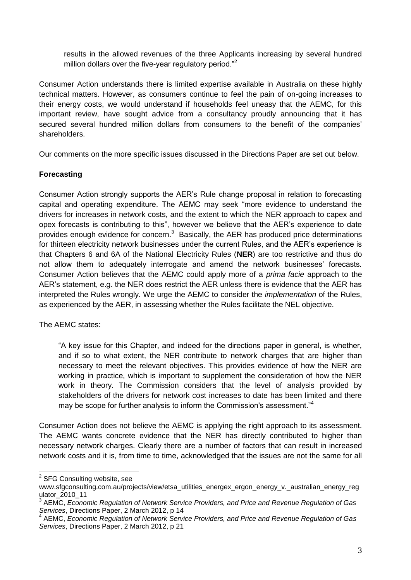results in the allowed revenues of the three Applicants increasing by several hundred million dollars over the five-year regulatory period.<sup> $32$ </sup>

Consumer Action understands there is limited expertise available in Australia on these highly technical matters. However, as consumers continue to feel the pain of on-going increases to their energy costs, we would understand if households feel uneasy that the AEMC, for this important review, have sought advice from a consultancy proudly announcing that it has secured several hundred million dollars from consumers to the benefit of the companies' shareholders.

Our comments on the more specific issues discussed in the Directions Paper are set out below.

# **Forecasting**

Consumer Action strongly supports the AER's Rule change proposal in relation to forecasting capital and operating expenditure. The AEMC may seek "more evidence to understand the drivers for increases in network costs, and the extent to which the NER approach to capex and opex forecasts is contributing to this", however we believe that the AER's experience to date provides enough evidence for concern.<sup>3</sup> Basically, the AER has produced price determinations for thirteen electricity network businesses under the current Rules, and the AER's experience is that Chapters 6 and 6A of the National Electricity Rules (**NER**) are too restrictive and thus do not allow them to adequately interrogate and amend the network businesses' forecasts. Consumer Action believes that the AEMC could apply more of a *prima facie* approach to the AER's statement, e.g. the NER does restrict the AER unless there is evidence that the AER has interpreted the Rules wrongly. We urge the AEMC to consider the *implementation* of the Rules, as experienced by the AER, in assessing whether the Rules facilitate the NEL objective.

The AEMC states:

―A key issue for this Chapter, and indeed for the directions paper in general, is whether, and if so to what extent, the NER contribute to network charges that are higher than necessary to meet the relevant objectives. This provides evidence of how the NER are working in practice, which is important to supplement the consideration of how the NER work in theory. The Commission considers that the level of analysis provided by stakeholders of the drivers for network cost increases to date has been limited and there may be scope for further analysis to inform the Commission's assessment.<sup>44</sup>

Consumer Action does not believe the AEMC is applying the right approach to its assessment. The AEMC wants concrete evidence that the NER has directly contributed to higher than necessary network charges. Clearly there are a number of factors that can result in increased network costs and it is, from time to time, acknowledged that the issues are not the same for all

1

<sup>&</sup>lt;sup>2</sup> SFG Consulting website, see

www.sfgconsulting.com.au/projects/view/etsa\_utilities\_energex\_ergon\_energy\_v.\_australian\_energy\_reg ulator\_2010\_11

<sup>3</sup> AEMC, *Economic Regulation of Network Service Providers, and Price and Revenue Regulation of Gas Services*, Directions Paper, 2 March 2012, p 14

<sup>4</sup> AEMC, *Economic Regulation of Network Service Providers, and Price and Revenue Regulation of Gas Services*, Directions Paper, 2 March 2012, p 21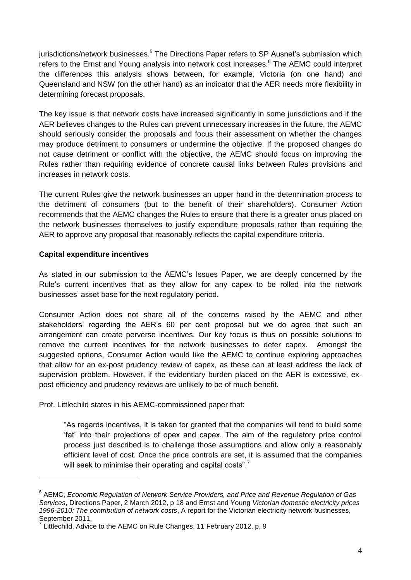jurisdictions/network businesses.<sup>5</sup> The Directions Paper refers to SP Ausnet's submission which refers to the Ernst and Young analysis into network cost increases.<sup>6</sup> The AEMC could interpret the differences this analysis shows between, for example, Victoria (on one hand) and Queensland and NSW (on the other hand) as an indicator that the AER needs more flexibility in determining forecast proposals.

The key issue is that network costs have increased significantly in some jurisdictions and if the AER believes changes to the Rules can prevent unnecessary increases in the future, the AEMC should seriously consider the proposals and focus their assessment on whether the changes may produce detriment to consumers or undermine the objective. If the proposed changes do not cause detriment or conflict with the objective, the AEMC should focus on improving the Rules rather than requiring evidence of concrete causal links between Rules provisions and increases in network costs.

The current Rules give the network businesses an upper hand in the determination process to the detriment of consumers (but to the benefit of their shareholders). Consumer Action recommends that the AEMC changes the Rules to ensure that there is a greater onus placed on the network businesses themselves to justify expenditure proposals rather than requiring the AER to approve any proposal that reasonably reflects the capital expenditure criteria.

### **Capital expenditure incentives**

1

As stated in our submission to the AEMC's Issues Paper, we are deeply concerned by the Rule's current incentives that as they allow for any capex to be rolled into the network businesses' asset base for the next regulatory period.

Consumer Action does not share all of the concerns raised by the AEMC and other stakeholders' regarding the AER's 60 per cent proposal but we do agree that such an arrangement can create perverse incentives. Our key focus is thus on possible solutions to remove the current incentives for the network businesses to defer capex. Amongst the suggested options, Consumer Action would like the AEMC to continue exploring approaches that allow for an ex-post prudency review of capex, as these can at least address the lack of supervision problem. However, if the evidentiary burden placed on the AER is excessive, expost efficiency and prudency reviews are unlikely to be of much benefit.

Prof. Littlechild states in his AEMC-commissioned paper that:

"As regards incentives, it is taken for granted that the companies will tend to build some ‗fat' into their projections of opex and capex. The aim of the regulatory price control process just described is to challenge those assumptions and allow only a reasonably efficient level of cost. Once the price controls are set, it is assumed that the companies will seek to minimise their operating and capital costs".<sup>7</sup>

<sup>6</sup> AEMC, *Economic Regulation of Network Service Providers, and Price and Revenue Regulation of Gas Services*, Directions Paper, 2 March 2012, p 18 and Ernst and Young *Victorian domestic electricity prices 1996-2010: The contribution of network costs*, A report for the Victorian electricity network businesses, September 2011.

<sup>7</sup> Littlechild, Advice to the AEMC on Rule Changes, 11 February 2012, p, 9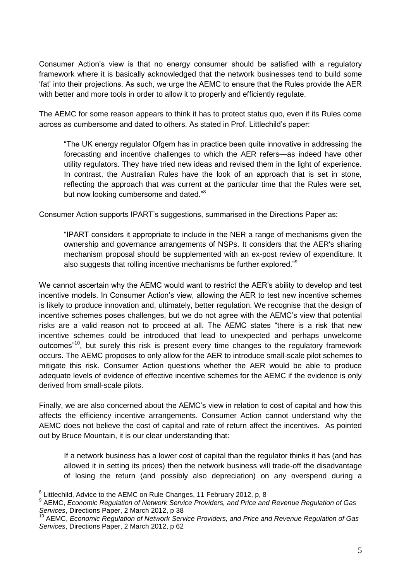Consumer Action's view is that no energy consumer should be satisfied with a regulatory framework where it is basically acknowledged that the network businesses tend to build some ‗fat' into their projections. As such, we urge the AEMC to ensure that the Rules provide the AER with better and more tools in order to allow it to properly and efficiently regulate.

The AEMC for some reason appears to think it has to protect status quo, even if its Rules come across as cumbersome and dated to others. As stated in Prof. Littlechild's paper:

"The UK energy regulator Ofgem has in practice been guite innovative in addressing the forecasting and incentive challenges to which the AER refers—as indeed have other utility regulators. They have tried new ideas and revised them in the light of experience. In contrast, the Australian Rules have the look of an approach that is set in stone, reflecting the approach that was current at the particular time that the Rules were set, but now looking cumbersome and dated.<sup>88</sup>

Consumer Action supports IPART's suggestions, summarised in the Directions Paper as:

"IPART considers it appropriate to include in the NER a range of mechanisms given the ownership and governance arrangements of NSPs. It considers that the AER's sharing mechanism proposal should be supplemented with an ex-post review of expenditure. It also suggests that rolling incentive mechanisms be further explored. $\mathbb{R}^9$ 

We cannot ascertain why the AEMC would want to restrict the AER's ability to develop and test incentive models. In Consumer Action's view, allowing the AER to test new incentive schemes is likely to produce innovation and, ultimately, better regulation. We recognise that the design of incentive schemes poses challenges, but we do not agree with the AEMC's view that potential risks are a valid reason not to proceed at all. The AEMC states "there is a risk that new incentive schemes could be introduced that lead to unexpected and perhaps unwelcome outcomes"<sup>10</sup>, but surely this risk is present every time changes to the regulatory framework occurs. The AEMC proposes to only allow for the AER to introduce small-scale pilot schemes to mitigate this risk. Consumer Action questions whether the AER would be able to produce adequate levels of evidence of effective incentive schemes for the AEMC if the evidence is only derived from small-scale pilots.

Finally, we are also concerned about the AEMC's view in relation to cost of capital and how this affects the efficiency incentive arrangements. Consumer Action cannot understand why the AEMC does not believe the cost of capital and rate of return affect the incentives. As pointed out by Bruce Mountain, it is our clear understanding that:

If a network business has a lower cost of capital than the regulator thinks it has (and has allowed it in setting its prices) then the network business will trade-off the disadvantage of losing the return (and possibly also depreciation) on any overspend during a

<u>.</u>

<sup>8</sup> Littlechild, Advice to the AEMC on Rule Changes, 11 February 2012, p, 8

<sup>9</sup> AEMC, *Economic Regulation of Network Service Providers, and Price and Revenue Regulation of Gas Services*, Directions Paper, 2 March 2012, p 38

<sup>10</sup> AEMC, *Economic Regulation of Network Service Providers, and Price and Revenue Regulation of Gas Services*, Directions Paper, 2 March 2012, p 62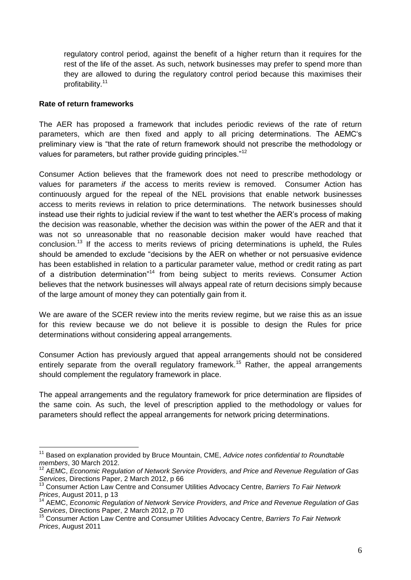regulatory control period, against the benefit of a higher return than it requires for the rest of the life of the asset. As such, network businesses may prefer to spend more than they are allowed to during the regulatory control period because this maximises their profitability.<sup>11</sup>

### **Rate of return frameworks**

1

The AER has proposed a framework that includes periodic reviews of the rate of return parameters, which are then fixed and apply to all pricing determinations. The AEMC‗s preliminary view is "that the rate of return framework should not prescribe the methodology or values for parameters, but rather provide guiding principles."<sup>12</sup>

Consumer Action believes that the framework does not need to prescribe methodology or values for parameters *if* the access to merits review is removed. Consumer Action has continuously argued for the repeal of the NEL provisions that enable network businesses access to merits reviews in relation to price determinations. The network businesses should instead use their rights to judicial review if the want to test whether the AER's process of making the decision was reasonable, whether the decision was within the power of the AER and that it was not so unreasonable that no reasonable decision maker would have reached that conclusion.<sup>13</sup> If the access to merits reviews of pricing determinations is upheld, the Rules should be amended to exclude "decisions by the AER on whether or not persuasive evidence has been established in relation to a particular parameter value, method or credit rating as part of a distribution determination<sup>"14</sup> from being subject to merits reviews. Consumer Action believes that the network businesses will always appeal rate of return decisions simply because of the large amount of money they can potentially gain from it.

We are aware of the SCER review into the merits review regime, but we raise this as an issue for this review because we do not believe it is possible to design the Rules for price determinations without considering appeal arrangements.

Consumer Action has previously argued that appeal arrangements should not be considered entirely separate from the overall regulatory framework.<sup>15</sup> Rather, the appeal arrangements should complement the regulatory framework in place.

The appeal arrangements and the regulatory framework for price determination are flipsides of the same coin. As such, the level of prescription applied to the methodology or values for parameters should reflect the appeal arrangements for network pricing determinations.

<sup>11</sup> Based on explanation provided by Bruce Mountain, CME, *Advice notes confidential to Roundtable members*, 30 March 2012.

<sup>&</sup>lt;sup>12</sup> AEMC, *Economic Regulation of Network Service Providers, and Price and Revenue Regulation of Gas Services*, Directions Paper, 2 March 2012, p 66

<sup>13</sup> Consumer Action Law Centre and Consumer Utilities Advocacy Centre, *Barriers To Fair Network Prices*, August 2011, p 13

<sup>14</sup> AEMC, *Economic Regulation of Network Service Providers, and Price and Revenue Regulation of Gas Services*, Directions Paper, 2 March 2012, p 70

<sup>15</sup> Consumer Action Law Centre and Consumer Utilities Advocacy Centre, *Barriers To Fair Network Prices*, August 2011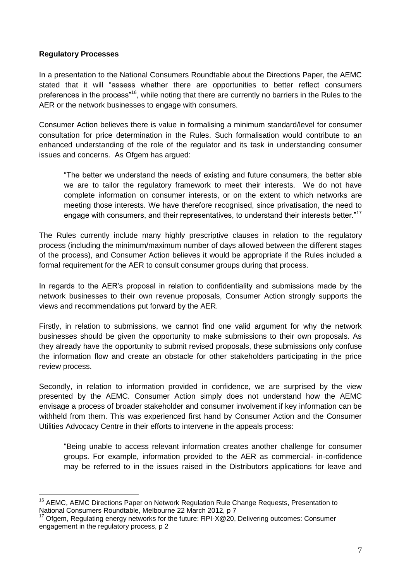## **Regulatory Processes**

1

In a presentation to the National Consumers Roundtable about the Directions Paper, the AEMC stated that it will "assess whether there are opportunities to better reflect consumers preferences in the process<sup>"16</sup>, while noting that there are currently no barriers in the Rules to the AER or the network businesses to engage with consumers.

Consumer Action believes there is value in formalising a minimum standard/level for consumer consultation for price determination in the Rules. Such formalisation would contribute to an enhanced understanding of the role of the regulator and its task in understanding consumer issues and concerns. As Ofgem has arqued:

―The better we understand the needs of existing and future consumers, the better able we are to tailor the regulatory framework to meet their interests. We do not have complete information on consumer interests, or on the extent to which networks are meeting those interests. We have therefore recognised, since privatisation, the need to engage with consumers, and their representatives, to understand their interests better."<sup>17</sup>

The Rules currently include many highly prescriptive clauses in relation to the regulatory process (including the minimum/maximum number of days allowed between the different stages of the process), and Consumer Action believes it would be appropriate if the Rules included a formal requirement for the AER to consult consumer groups during that process.

In regards to the AER's proposal in relation to confidentiality and submissions made by the network businesses to their own revenue proposals, Consumer Action strongly supports the views and recommendations put forward by the AER.

Firstly, in relation to submissions, we cannot find one valid argument for why the network businesses should be given the opportunity to make submissions to their own proposals. As they already have the opportunity to submit revised proposals, these submissions only confuse the information flow and create an obstacle for other stakeholders participating in the price review process.

Secondly, in relation to information provided in confidence, we are surprised by the view presented by the AEMC. Consumer Action simply does not understand how the AEMC envisage a process of broader stakeholder and consumer involvement if key information can be withheld from them. This was experienced first hand by Consumer Action and the Consumer Utilities Advocacy Centre in their efforts to intervene in the appeals process:

―Being unable to access relevant information creates another challenge for consumer groups. For example, information provided to the AER as commercial- in-confidence may be referred to in the issues raised in the Distributors applications for leave and

<sup>&</sup>lt;sup>16</sup> AEMC, AEMC Directions Paper on Network Regulation Rule Change Requests, Presentation to National Consumers Roundtable, Melbourne 22 March 2012, p 7

<sup>17</sup> Ofgem, Regulating energy networks for the future: RPI-X@20, Delivering outcomes: Consumer engagement in the regulatory process, p 2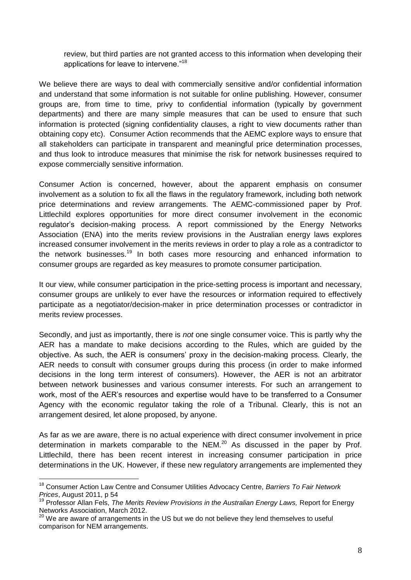review, but third parties are not granted access to this information when developing their applications for leave to intervene."<sup>18</sup>

We believe there are ways to deal with commercially sensitive and/or confidential information and understand that some information is not suitable for online publishing. However, consumer groups are, from time to time, privy to confidential information (typically by government departments) and there are many simple measures that can be used to ensure that such information is protected (signing confidentiality clauses, a right to view documents rather than obtaining copy etc). Consumer Action recommends that the AEMC explore ways to ensure that all stakeholders can participate in transparent and meaningful price determination processes, and thus look to introduce measures that minimise the risk for network businesses required to expose commercially sensitive information.

Consumer Action is concerned, however, about the apparent emphasis on consumer involvement as a solution to fix all the flaws in the regulatory framework, including both network price determinations and review arrangements. The AEMC-commissioned paper by Prof. Littlechild explores opportunities for more direct consumer involvement in the economic regulator's decision-making process. A report commissioned by the Energy Networks Association (ENA) into the merits review provisions in the Australian energy laws explores increased consumer involvement in the merits reviews in order to play a role as a contradictor to the network businesses.<sup>19</sup> In both cases more resourcing and enhanced information to consumer groups are regarded as key measures to promote consumer participation.

It our view, while consumer participation in the price-setting process is important and necessary, consumer groups are unlikely to ever have the resources or information required to effectively participate as a negotiator/decision-maker in price determination processes or contradictor in merits review processes.

Secondly, and just as importantly, there is *not* one single consumer voice. This is partly why the AER has a mandate to make decisions according to the Rules, which are guided by the objective. As such, the AER is consumers' proxy in the decision-making process. Clearly, the AER needs to consult with consumer groups during this process (in order to make informed decisions in the long term interest of consumers). However, the AER is not an arbitrator between network businesses and various consumer interests. For such an arrangement to work, most of the AER's resources and expertise would have to be transferred to a Consumer Agency with the economic regulator taking the role of a Tribunal. Clearly, this is not an arrangement desired, let alone proposed, by anyone.

As far as we are aware, there is no actual experience with direct consumer involvement in price determination in markets comparable to the NEM. $^{20}$  As discussed in the paper by Prof. Littlechild, there has been recent interest in increasing consumer participation in price determinations in the UK. However, if these new regulatory arrangements are implemented they

1

<sup>18</sup> Consumer Action Law Centre and Consumer Utilities Advocacy Centre, *Barriers To Fair Network Prices*, August 2011, p 54

<sup>19</sup> Professor Allan Fels, *The Merits Review Provisions in the Australian Energy Laws,* Report for Energy Networks Association, March 2012.

 $20$  We are aware of arrangements in the US but we do not believe they lend themselves to useful comparison for NEM arrangements.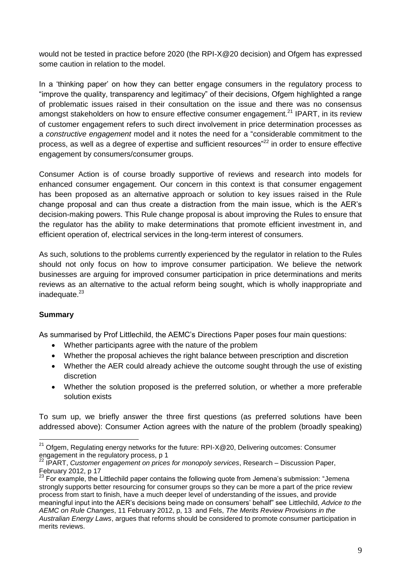would not be tested in practice before 2020 (the RPI-X@20 decision) and Ofgem has expressed some caution in relation to the model.

In a 'thinking paper' on how they can better engage consumers in the regulatory process to "improve the quality, transparency and legitimacy" of their decisions, Ofgem highlighted a range of problematic issues raised in their consultation on the issue and there was no consensus amongst stakeholders on how to ensure effective consumer engagement.<sup>21</sup> IPART, in its review of customer engagement refers to such direct involvement in price determination processes as a *constructive engagement* model and it notes the need for a "considerable commitment to the process, as well as a degree of expertise and sufficient resources<sup> $22$ </sup> in order to ensure effective engagement by consumers/consumer groups.

Consumer Action is of course broadly supportive of reviews and research into models for enhanced consumer engagement. Our concern in this context is that consumer engagement has been proposed as an alternative approach or solution to key issues raised in the Rule change proposal and can thus create a distraction from the main issue, which is the AER's decision-making powers. This Rule change proposal is about improving the Rules to ensure that the regulator has the ability to make determinations that promote efficient investment in, and efficient operation of, electrical services in the long-term interest of consumers.

As such, solutions to the problems currently experienced by the regulator in relation to the Rules should not only focus on how to improve consumer participation. We believe the network businesses are arguing for improved consumer participation in price determinations and merits reviews as an alternative to the actual reform being sought, which is wholly inappropriate and inadequate. 23

# **Summary**

1

As summarised by Prof Littlechild, the AEMC's Directions Paper poses four main questions:

- Whether participants agree with the nature of the problem
- Whether the proposal achieves the right balance between prescription and discretion
- Whether the AER could already achieve the outcome sought through the use of existing discretion
- Whether the solution proposed is the preferred solution, or whether a more preferable solution exists

To sum up, we briefly answer the three first questions (as preferred solutions have been addressed above): Consumer Action agrees with the nature of the problem (broadly speaking)

 $21$  Ofgem, Regulating energy networks for the future: RPI-X@20, Delivering outcomes: Consumer engagement in the regulatory process, p 1

<sup>22</sup> IPART, *Customer engagement on prices for monopoly services*, Research – Discussion Paper, February 2012, p 17

 $23$  For example, the Littlechild paper contains the following quote from Jemena's submission: "Jemena strongly supports better resourcing for consumer groups so they can be more a part of the price review process from start to finish, have a much deeper level of understanding of the issues, and provide meaningful input into the AER's decisions being made on consumers' behalf" see Littlechild. Advice to the *AEMC on Rule Changes*, 11 February 2012, p, 13 and Fels, *The Merits Review Provisions in the Australian Energy Laws*, argues that reforms should be considered to promote consumer participation in merits reviews.